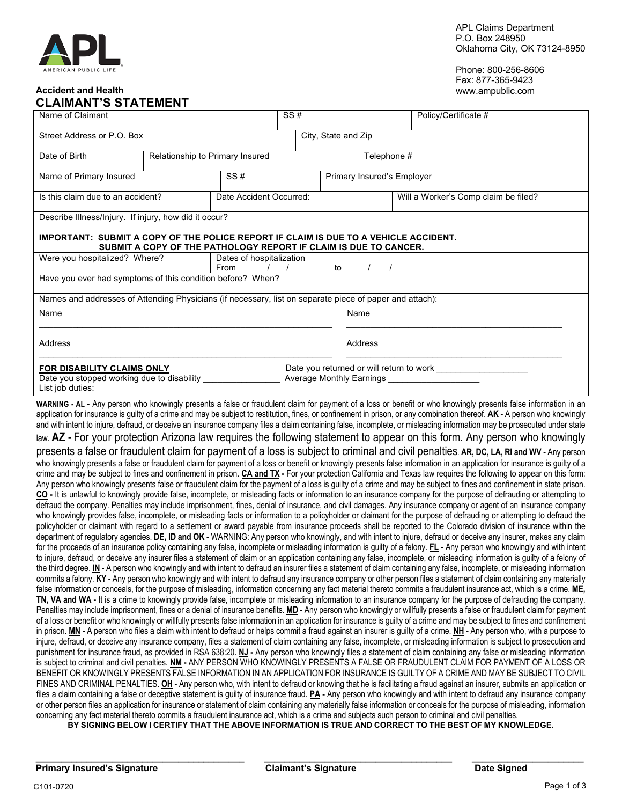#### **Accident and Health CLAIMANT'S STATEMENT**

Phone: 800-256-8606 Fax: 877-365-9423 www.ampublic.com

| VLAINAN I V VIATEMEN I                                                                                                                                   |                                 |                                        |                            |             |                                      |  |  |
|----------------------------------------------------------------------------------------------------------------------------------------------------------|---------------------------------|----------------------------------------|----------------------------|-------------|--------------------------------------|--|--|
| Name of Claimant                                                                                                                                         |                                 |                                        | SS#                        |             | Policy/Certificate #                 |  |  |
| Street Address or P.O. Box                                                                                                                               |                                 |                                        | City, State and Zip        |             |                                      |  |  |
| Date of Birth                                                                                                                                            | Relationship to Primary Insured |                                        |                            | Telephone # |                                      |  |  |
| Name of Primary Insured                                                                                                                                  | SS#                             |                                        | Primary Insured's Employer |             |                                      |  |  |
| Is this claim due to an accident?                                                                                                                        |                                 | Date Accident Occurred:                |                            |             | Will a Worker's Comp claim be filed? |  |  |
| Describe Illness/Injury. If injury, how did it occur?                                                                                                    |                                 |                                        |                            |             |                                      |  |  |
| IMPORTANT: SUBMIT A COPY OF THE POLICE REPORT IF CLAIM IS DUE TO A VEHICLE ACCIDENT.<br>SUBMIT A COPY OF THE PATHOLOGY REPORT IF CLAIM IS DUE TO CANCER. |                                 |                                        |                            |             |                                      |  |  |
| Were you hospitalized? Where?                                                                                                                            |                                 | Dates of hospitalization<br>From<br>to |                            |             |                                      |  |  |
| Have you ever had symptoms of this condition before? When?                                                                                               |                                 |                                        |                            |             |                                      |  |  |
| Names and addresses of Attending Physicians (if necessary, list on separate piece of paper and attach):                                                  |                                 |                                        |                            |             |                                      |  |  |
| Name                                                                                                                                                     |                                 |                                        |                            | Name        |                                      |  |  |
| Address                                                                                                                                                  |                                 |                                        |                            | Address     |                                      |  |  |
| FOR DISABILITY CLAIMS ONLY<br>Date you stopped working due to disability<br>List job duties:                                                             |                                 |                                        |                            |             |                                      |  |  |

**WARNING - AL -** Any person who knowingly presents a false or fraudulent claim for payment of a loss or benefit or who knowingly presents false information in an application for insurance is guilty of a crime and may be subject to restitution, fines, or confinement in prison, or any combination thereof. **AK -** A person who knowingly and with intent to injure, defraud, or deceive an insurance company files a claim containing false, incomplete, or misleading information may be prosecuted under state

law. **AZ -** For your protection Arizona law requires the following statement to appear on this form. Any person who knowingly

presents a false or fraudulent claim for payment of a loss is subject to criminal and civil penalties. **AR, DC, LA, RI and WV -** Any person who knowingly presents a false or fraudulent claim for payment of a loss or benefit or knowingly presents false information in an application for insurance is guilty of a crime and may be subject to fines and confinement in prison. **CA and TX -** For your protection California and Texas law requires the following to appear on this form: Any person who knowingly presents false or fraudulent claim for the payment of a loss is guilty of a crime and may be subject to fines and confinement in state prison. **CO -** It is unlawful to knowingly provide false, incomplete, or misleading facts or information to an insurance company for the purpose of defrauding or attempting to defraud the company. Penalties may include imprisonment, fines, denial of insurance, and civil damages. Any insurance company or agent of an insurance company who knowingly provides false, incomplete, or misleading facts or information to a policyholder or claimant for the purpose of defrauding or attempting to defraud the policyholder or claimant with regard to a settlement or award payable from insurance proceeds shall be reported to the Colorado division of insurance within the department of regulatory agencies. **DE, ID and OK** - WARNING: Any person who knowingly, and with intent to injure, defraud or deceive any insurer, makes any claim for the proceeds of an insurance policy containing any false, incomplete or misleading information is guilty of a felony. **FL -** Any person who knowingly and with intent to injure, defraud, or deceive any insurer files a statement of claim or an application containing any false, incomplete, or misleading information is guilty of a felony of the third degree. **IN -** A person who knowingly and with intent to defraud an insurer files a statement of claim containing any false, incomplete, or misleading information commits a felony. **KY -** Any person who knowingly and with intent to defraud any insurance company or other person files a statement of claim containing any materially false information or conceals, for the purpose of misleading, information concerning any fact material thereto commits a fraudulent insurance act, which is a crime. **ME, TN, VA and WA -** It is a crime to knowingly provide false, incomplete or misleading information to an insurance company for the purpose of defrauding the company. Penalties may include imprisonment, fines or a denial of insurance benefits. **MD -** Any person who knowingly or willfully presents a false or fraudulent claim for payment of a loss or benefit or who knowingly or willfully presents false information in an application for insurance is guilty of a crime and may be subject to fines and confinement in prison. **MN -** A person who files a claim with intent to defraud or helps commit a fraud against an insurer is guilty of a crime. **NH -** Any person who, with a purpose to injure, defraud, or deceive any insurance company, files a statement of claim containing any false, incomplete, or misleading information is subject to prosecution and punishment for insurance fraud, as provided in RSA 638:20. **NJ -** Any person who knowingly files a statement of claim containing any false or misleading information is subject to criminal and civil penalties. **NM -** ANY PERSON WHO KNOWINGLY PRESENTS A FALSE OR FRAUDULENT CLAIM FOR PAYMENT OF A LOSS OR BENEFIT OR KNOWINGLY PRESENTS FALSE INFORMATION IN AN APPLICATION FOR INSURANCE IS GUILTY OF A CRIME AND MAY BE SUBJECT TO CIVIL FINES AND CRIMINAL PENALTIES. **OH -** Any person who, with intent to defraud or knowing that he is facilitating a fraud against an insurer, submits an application or files a claim containing a false or deceptive statement is guilty of insurance fraud. **PA -** Any person who knowingly and with intent to defraud any insurance company or other person files an application for insurance or statement of claim containing any materially false information or conceals for the purpose of misleading, information concerning any fact material thereto commits a fraudulent insurance act, which is a crime and subjects such person to criminal and civil penalties.

BY SIGNING BELOW I CERTIFY THAT THE ABOVE INFORMATION IS TRUE AND CORRECT TO THE BEST OF MY KNOWLEDGE.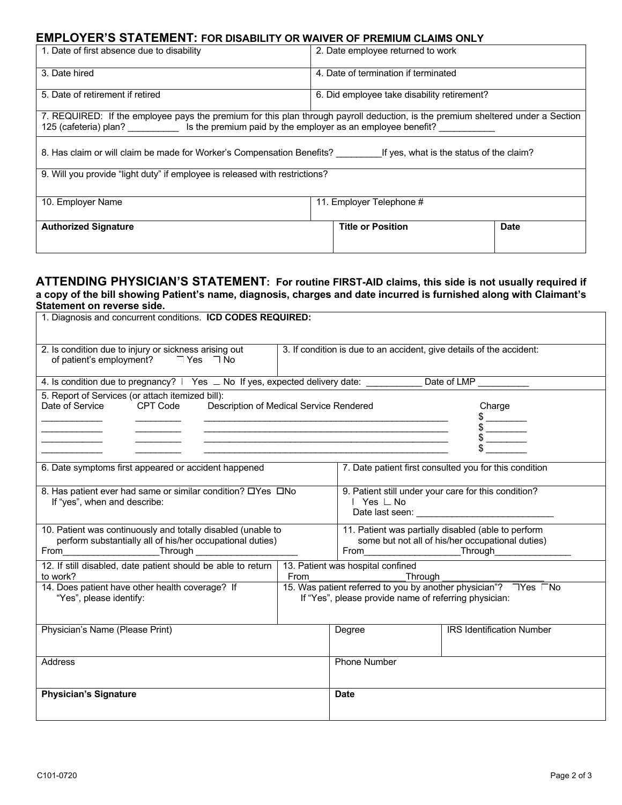## **EMPLOYER'S STATEMENT: FOR DISABILITY OR WAIVER OF PREMIUM CLAIMS ONLY**

| 1. Date of first absence due to disability                                                                                                                                                                           | 2. Date employee returned to work           |             |  |  |  |
|----------------------------------------------------------------------------------------------------------------------------------------------------------------------------------------------------------------------|---------------------------------------------|-------------|--|--|--|
| 3. Date hired                                                                                                                                                                                                        | 4. Date of termination if terminated        |             |  |  |  |
| 5. Date of retirement if retired                                                                                                                                                                                     | 6. Did employee take disability retirement? |             |  |  |  |
| 7. REQUIRED: If the employee pays the premium for this plan through payroll deduction, is the premium sheltered under a Section<br>125 (cafeteria) plan? Is the premium paid by the employer as an employee benefit? |                                             |             |  |  |  |
| 8. Has claim or will claim be made for Worker's Compensation Benefits?<br>If yes, what is the status of the claim?                                                                                                   |                                             |             |  |  |  |
| 9. Will you provide "light duty" if employee is released with restrictions?                                                                                                                                          |                                             |             |  |  |  |
| 10. Employer Name                                                                                                                                                                                                    | 11. Employer Telephone #                    |             |  |  |  |
| <b>Authorized Signature</b>                                                                                                                                                                                          | <b>Title or Position</b>                    | <b>Date</b> |  |  |  |

### **ATTENDING PHYSICIAN'S STATEMENT: For routine FIRST-AID claims, this side is not usually required if a copy of the bill showing Patient's name, diagnosis, charges and date incurred is furnished along with Claimant's Statement on reverse side.**

| 1. Diagnosis and concurrent conditions. <b>ICD CODES REQUIRED:</b>                                                         |                                                                                                                                 |                                                                                                                         |                                  |  |
|----------------------------------------------------------------------------------------------------------------------------|---------------------------------------------------------------------------------------------------------------------------------|-------------------------------------------------------------------------------------------------------------------------|----------------------------------|--|
| 2. Is condition due to injury or sickness arising out<br>of patient's employment? TYes No                                  | 3. If condition is due to an accident, give details of the accident:                                                            |                                                                                                                         |                                  |  |
| 4. Is condition due to pregnancy? L Yes _ No If yes, expected delivery date: __________ Date of LMP _________              |                                                                                                                                 |                                                                                                                         |                                  |  |
| 5. Report of Services (or attach itemized bill):<br>Date of Service<br>CPT Code<br>Description of Medical Service Rendered | <u> 1989 - Johann John Stone, markin film yn y breninnas y breninnas y breninnas y breninnas y breninnas y breni</u>            | Charge<br>$\frac{1}{2}$                                                                                                 |                                  |  |
| 6. Date symptoms first appeared or accident happened                                                                       | 7. Date patient first consulted you for this condition                                                                          |                                                                                                                         |                                  |  |
| 8. Has patient ever had same or similar condition? OYes ONo<br>If "yes", when and describe:                                | 9. Patient still under your care for this condition?<br>Yes ∟ No                                                                |                                                                                                                         |                                  |  |
| 10. Patient was continuously and totally disabled (unable to<br>perform substantially all of his/her occupational duties)  | 11. Patient was partially disabled (able to perform<br>some but not all of his/her occupational duties)<br>From Through Through |                                                                                                                         |                                  |  |
| 12. If still disabled, date patient should be able to return   13. Patient was hospital confined<br>to work?               | From                                                                                                                            | Through                                                                                                                 |                                  |  |
| 14. Does patient have other health coverage? If<br>"Yes", please identify:                                                 |                                                                                                                                 | 15. Was patient referred to you by another physician"? TYes No<br>If "Yes", please provide name of referring physician: |                                  |  |
| Physician's Name (Please Print)                                                                                            |                                                                                                                                 | Degree                                                                                                                  | <b>IRS Identification Number</b> |  |
| <b>Address</b>                                                                                                             |                                                                                                                                 | <b>Phone Number</b>                                                                                                     |                                  |  |
| <b>Physician's Signature</b>                                                                                               |                                                                                                                                 | <b>Date</b>                                                                                                             |                                  |  |